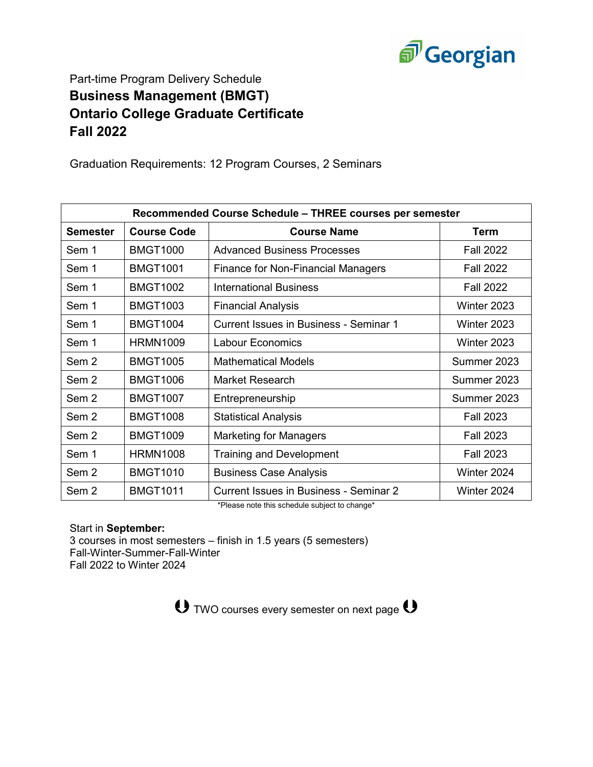

## Part-time Program Delivery Schedule **Business Management (BMGT) Ontario College Graduate Certificate Fall 2022**

Graduation Requirements: 12 Program Courses, 2 Seminars

| Recommended Course Schedule - THREE courses per semester |                    |                                               |                  |  |
|----------------------------------------------------------|--------------------|-----------------------------------------------|------------------|--|
| Semester                                                 | <b>Course Code</b> | <b>Course Name</b>                            | Term             |  |
| Sem 1                                                    | <b>BMGT1000</b>    | <b>Advanced Business Processes</b>            | <b>Fall 2022</b> |  |
| Sem 1                                                    | <b>BMGT1001</b>    | <b>Finance for Non-Financial Managers</b>     | <b>Fall 2022</b> |  |
| Sem 1                                                    | <b>BMGT1002</b>    | <b>International Business</b>                 | <b>Fall 2022</b> |  |
| Sem 1                                                    | <b>BMGT1003</b>    | <b>Financial Analysis</b>                     | Winter 2023      |  |
| Sem 1                                                    | <b>BMGT1004</b>    | Current Issues in Business - Seminar 1        | Winter 2023      |  |
| Sem 1                                                    | <b>HRMN1009</b>    | <b>Labour Economics</b>                       | Winter 2023      |  |
| Sem 2                                                    | <b>BMGT1005</b>    | <b>Mathematical Models</b>                    | Summer 2023      |  |
| Sem <sub>2</sub>                                         | <b>BMGT1006</b>    | Market Research                               | Summer 2023      |  |
| Sem <sub>2</sub>                                         | <b>BMGT1007</b>    | Entrepreneurship                              | Summer 2023      |  |
| Sem 2                                                    | <b>BMGT1008</b>    | <b>Statistical Analysis</b>                   | <b>Fall 2023</b> |  |
| Sem 2                                                    | <b>BMGT1009</b>    | <b>Marketing for Managers</b>                 | <b>Fall 2023</b> |  |
| Sem 1                                                    | <b>HRMN1008</b>    | <b>Training and Development</b>               | <b>Fall 2023</b> |  |
| Sem 2                                                    | <b>BMGT1010</b>    | <b>Business Case Analysis</b>                 | Winter 2024      |  |
| Sem <sub>2</sub>                                         | <b>BMGT1011</b>    | <b>Current Issues in Business - Seminar 2</b> | Winter 2024      |  |

\*Please note this schedule subject to change\*

Start in **September:**

3 courses in most semesters – finish in 1.5 years (5 semesters) Fall-Winter-Summer-Fall-Winter Fall 2022 to Winter 2024